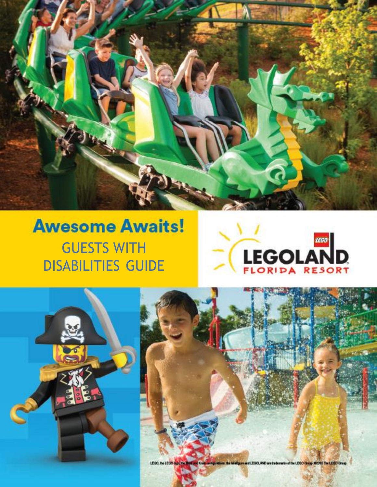

# **Awesome Awaits!** GUESTS WITH DISABILITIES GUIDE







is of the LEGO Gauge, 60915 The LEGO Group. LEGO, BellEGO **LEGOLAND are trade**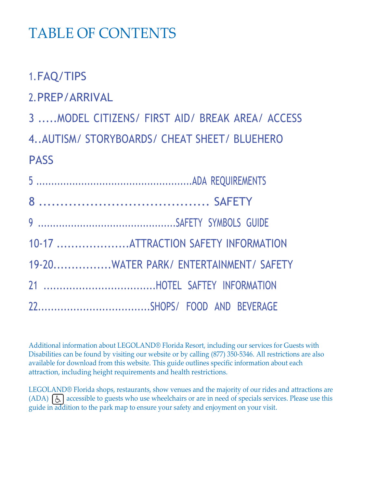# TABLE OF CONTENTS

1.FAQ/TIPS

2.PREP/ARRIVAL

3 .....MODEL CITIZENS/ FIRST AID/ BREAK AREA/ ACCESS

4..AUTISM/ STORYBOARDS/ CHEAT SHEET/ BLUEHERO PASS

| 10-17 ATTRACTION SAFETY INFORMATION    |
|----------------------------------------|
| 19-20WATER PARK/ ENTERTAINMENT/ SAFETY |
|                                        |
|                                        |

Additional information about LEGOLAND® Florida Resort, including our services for Guests with Disabilities can be found by visiting our website or by calling (877) 350-5346. All restrictions are also available for download from this website. This guide outlines specific information about each attraction, including height requirements and health restrictions.

LEGOLAND® Florida shops, restaurants, show venues and the majority of our rides and attractions are  $(ADA)$   $\boxed{6}$  accessible to guests who use wheelchairs or are in need of specials services. Please use this guide in addition to the park map to ensure your safety and enjoyment on your visit.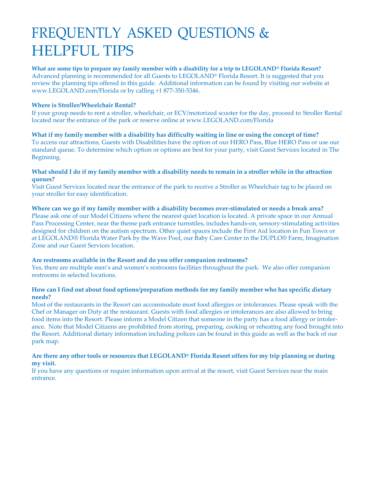# FREQUENTLY ASKED QUESTIONS & HELPFUL TIPS

#### **What are some tips to prepare my family member with a disability for a trip to LEGOLAND® Florida Resort?** Advanced planning is recommended for all Guests to LEGOLAND® Florida Resort. It is suggested that you review the planning tips offered in this guide. Additional information can be found by visiting our website at [www.LEGOLAND.com/Florida](http://www.legoland.com/Florida) or by calling +1 877-350-5346.

#### **Where is Stroller/Wheelchair Rental?**

If your group needs to rent a stroller, wheelchair, or ECV/motorized scooter for the day, proceed to Stroller Rental located near the entrance of the park or reserve online a[t www.LEGOLAND.com/Florida](http://www.legoland.com/Florida)

#### What if my family member with a disability has difficulty waiting in line or using the concept of time?

To access our attractions, Guests with Disabilities have the option of our HERO Pass, Blue HERO Pass or use our standard queue. To determine which option or options are best for your party, visit Guest Services located in The Beginning.

#### What should I do if my family member with a disability needs to remain in a stroller while in the attraction **queues?**

Visit Guest Services located near the entrance of the park to receive a Stroller as Wheelchair tag to be placed on your stroller for easy identification.

#### **Where can we go if my family member with a disability becomes over-stimulated or needs a break area?**

Please ask one of our Model Citizens where the nearest quiet location is located. A private space in our Annual Pass Processing Center, near the theme park entrance turnstiles, includes hands-on, sensory-stimulating activities designed for children on the autism spectrum. Other quiet spaces include the First Aid location in Fun Town or at LEGOLAND® Florida Water Park by the Wave Pool, our Baby Care Center in the DUPLO® Farm, Imagination Zone and our Guest Services location.

#### **Are restrooms available in the Resort and do you offer companion restrooms?**

Yes, there are multiple men's and women's restrooms facilities throughout the park. We also offer companion restrooms in selected locations.

#### **How can I find out about food options/preparation methods for my family member who has specific dietary needs?**

Most of the restaurants in the Resort can accommodate most food allergies or intolerances. Please speak with the Chef or Manager on Duty at the restaurant. Guests with food allergies or intolerances are also allowed to bring food items into the Resort. Please inform a Model Citizen that someone in the party has a food allergy or intolerance. Note that Model Citizens are prohibited from storing, preparing, cooking or reheating any food brought into the Resort. Additional dietary information including polices can be found in this guide as well as the back of our park map.

#### Are there any other tools or resources that LEGOLAND® Florida Resort offers for my trip planning or during **my visit.**

If you have any questions or require information upon arrival at the resort, visit Guest Services near the main entrance.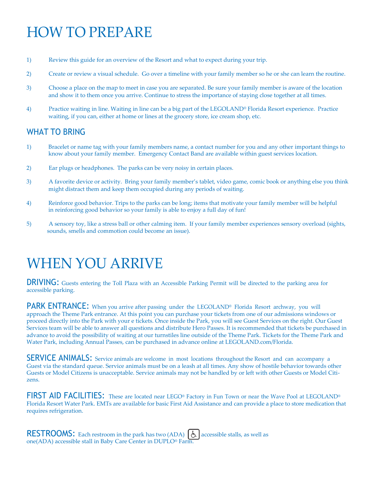# HOW TO PREPARE

- 1) Review this guide for an overview of the Resort and what to expect during your trip.
- 2) Create or review a visual schedule. Go over a timeline with your family member so he or she can learn the routine.
- 3) Choose a place on the map to meet in case you are separated. Be sure your family member is aware of the location and show it to them once you arrive. Continue to stress the importance of staying close together at all times.
- 4) Practice waiting in line. Waiting in line can be a big part of the LEGOLAND® Florida Resort experience. Practice waiting, if you can, either at home or lines at the grocery store, ice cream shop, etc.

### WHAT TO BRING

- 1) Bracelet or name tag with your family members name, a contact number for you and any other important things to know about your family member. Emergency Contact Band are available within guest services location.
- 2) Ear plugs or headphones. The parks can be very noisy in certain places.
- 3) A favorite device or activity. Bring your family member's tablet, video game, comic book or anything else you think might distract them and keep them occupied during any periods of waiting.
- 4) Reinforce good behavior. Trips to the parks can be long; items that motivate your family member will be helpful in reinforcing good behavior so your family is able to enjoy a full day of fun!
- 5) A sensory toy, like a stress ball or other calming item. If your family member experiences sensory overload (sights, sounds, smells and commotion could become an issue).

# WHEN YOU ARRIVE

DRIVING: Guests entering the Toll Plaza with an Accessible Parking Permit will be directed to the parking area for accessible parking.

PARK ENTRANCE: When you arrive after passing under the LEGOLAND® Florida Resort archway, you will approach the Theme Park entrance. At this point you can purchase your tickets from one of our admissions windows or proceed directly into the Park with your e tickets. Once inside the Park, you will see Guest Services on the right. Our Guest Services team will be able to answer all questions and distribute Hero Passes. It is recommended that tickets be purchased in advance to avoid the possibility of waiting at our turnstiles line outside of the Theme Park. Tickets for the Theme Park and Water Park, including Annual Passes, can be purchased in advance online at LEGOLAND.com/Florida.

SERVICE ANIMALS: Service animals are welcome in most locations throughout the Resort and can accompany a Guest via the standard queue. Service animals must be on a leash at all times. Any show of hostile behavior towards other Guests or Model Citizens is unacceptable. Service animals may not be handled by or left with other Guests or Model Citizens.

FIRST AID FACILITIES: These are located near LEGO® Factory in Fun Town or near the Wave Pool at LEGOLAND® Florida Resort Water Park. EMTs are available for basic First Aid Assistance and can provide a place to store medication that requires refrigeration.

RESTROOMS: Each restroom in the park has two (ADA)  $\left[\bigtriangleup\right]$  accessible stalls, as well as one(ADA) accessible stall in Baby Care Center in DUPLO® Farm.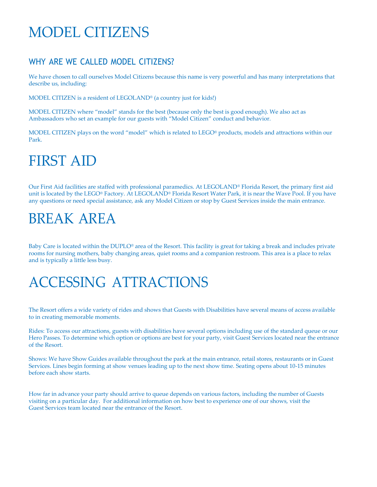# MODEL CITIZENS

# WHY ARE WE CALLED MODEL CITIZENS?

We have chosen to call ourselves Model Citizens because this name is very powerful and has many interpretations that describe us, including:

MODEL CITIZEN is a resident of LEGOLAND® (a country just for kids!)

MODEL CITIZEN where "model" stands for the best (because only the best is good enough). We also act as Ambassadors who set an example for our guests with "Model Citizen" conduct and behavior.

MODEL CITIZEN plays on the word "model" which is related to LEGO® products, models and attractions within our Park.

# FIRST AID

Our First Aid facilities are staffed with professional paramedics. At LEGOLAND® Florida Resort, the primary first aid unit is located by the LEGO® Factory. At LEGOLAND® Florida Resort Water Park, it is near the Wave Pool. If you have any questions or need special assistance, ask any Model Citizen or stop by Guest Services inside the main entrance.

# BREAK AREA

Baby Care is located within the DUPLO® area of the Resort. This facility is great for taking a break and includes private rooms for nursing mothers, baby changing areas, quiet rooms and a companion restroom. This area is a place to relax and is typically a little less busy.

# ACCESSING ATTRACTIONS

The Resort offers a wide variety of rides and shows that Guests with Disabilities have several means of access available to in creating memorable moments.

Rides: To access our attractions, guests with disabilities have several options including use of the standard queue or our Hero Passes. To determine which option or options are best for your party, visit Guest Services located near the entrance of the Resort.

Shows: We have Show Guides available throughout the park at the main entrance, retail stores, restaurants or in Guest Services. Lines begin forming at show venues leading up to the next show time. Seating opens about 10-15 minutes before each show starts.

How far in advance your party should arrive to queue depends on various factors, including the number of Guests visiting on a particular day. For additional information on how best to experience one of our shows, visit the Guest Services team located near the entrance of the Resort.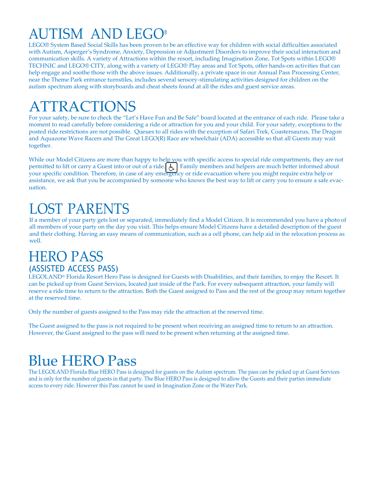# AUTISM AND LEGO®

LEGO® System Based Social Skills has been proven to be an effective way for children with social difficulties associated with Autism, Asperger's Syndrome, Anxiety, Depression or Adjustment Disorders to improve their social interaction and communication skills. A variety of Attractions within the resort, including Imagination Zone, Tot Spots within LEGO® TECHNIC and LEGO® CITY, along with a variety of LEGO® Play areas and Tot Spots, offer hands-on activities that can help engage and soothe those with the above issues. Additionally, a private space in our Annual Pass Processing Center, near the Theme Park entrance turnstiles, includes several sensory-stimulating activities designed for children on the autism spectrum along with storyboards and cheat sheets found at all the rides and guest service areas.

# ATTRACTIONS

For your safety, be sure to check the "Let's Have Fun and Be Safe" board located at the entrance of each ride. Please take a moment to read carefully before considering a ride or attraction for you and your child. For your safety, exceptions to the posted ride restrictions are not possible. Queues to all rides with the exception of Safari Trek, Coastersaurus, The Dragon and Aquazone Wave Racers and The Great LEGO(R) Race are wheelchair (ADA) accessible so that all Guests may wait together.

While our Model Citizens are more than happy to help you with specific access to special ride compartments, they are not permitted to lift or carry a Guest into or out of a ride.  $\bigcup$  Family members and helpers are much better informed about your specific condition. Therefore, in case of any emergency or ride evacuation where you might require extra help or assistance, we ask that you be accompanied by someone who knows the best way to lift or carry you to ensure a safe evacuation.

# LOST PARENTS

If a member of your party gets lost or separated, immediately find a Model Citizen. It is recommended you have a photo of all members of your party on the day you visit. This helps ensure Model Citizens have a detailed description of the guest and their clothing. Having an easy means of communication, such as a cell phone, can help aid in the relocation process as well.

# **HERO PASS** (ASSISTED ACCESS PASS)

LEGOLAND® Florida Resort Hero Pass is designed for Guests with Disabilities, and their families, to enjoy the Resort. It can be picked up from Guest Services, located just inside of the Park. For every subsequent attraction, your family will reserve a ride time to return to the attraction. Both the Guest assigned to Pass and the rest of the group may return together at the reserved time.

Only the number of guests assigned to the Pass may ride the attraction at the reserved time.

The Guest assigned to the pass is not required to be present when receiving an assigned time to return to an attraction. However, the Guest assigned to the pass will need to be present when returning at the assigned time.

# Blue HERO Pass

The LEGOLAND Florida Blue HERO Pass is designed for guests on the Autism spectrum. The pass can be picked up at Guest Services and is only for the number of guests in that party. The Blue HERO Pass is designed to allow the Guests and their parties immediate access to every ride. However this Pass cannot be used in Imagination Zone or the Water Park.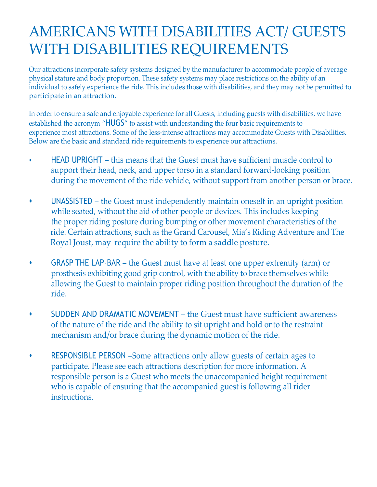# AMERICANS WITH DISABILITIES ACT/ GUESTS WITH DISABILITIES REQUIREMENTS

Our attractions incorporate safety systems designed by the manufacturer to accommodate people of average physical stature and body proportion. These safety systems may place restrictions on the ability of an individual to safely experience the ride. This includes those with disabilities, and they may not be permitted to participate in an attraction.

In order to ensure a safe and enjoyable experience for all Guests, including guests with disabilities, we have established the acronym "HUGS" to assist with understanding the four basic requirements to experience most attractions. Some of the less-intense attractions may accommodate Guests with Disabilities. Below are the basic and standard ride requirements to experience our attractions.

- HEAD UPRIGHT this means that the Guest must have sufficient muscle control to support their head, neck, and upper torso in a standard forward-looking position during the movement of the ride vehicle, without support from another person or brace.
- UNASSISTED the Guest must independently maintain oneself in an upright position while seated, without the aid of other people or devices. This includes keeping the proper riding posture during bumping or other movement characteristics of the ride. Certain attractions, such as the Grand Carousel, Mia's Riding Adventure and The Royal Joust, may require the ability to form a saddle posture.
- GRASP THE LAP-BAR the Guest must have at least one upper extremity (arm) or prosthesis exhibiting good grip control, with the ability to brace themselves while allowing the Guest to maintain proper riding position throughout the duration of the ride.
- SUDDEN AND DRAMATIC MOVEMENT the Guest must have sufficient awareness of the nature of the ride and the ability to sit upright and hold onto the restraint mechanism and/or brace during the dynamic motion of the ride.
- RESPONSIBLE PERSON –Some attractions only allow guests of certain ages to participate. Please see each attractions description for more information. A responsible person is a Guest who meets the unaccompanied height requirement who is capable of ensuring that the accompanied guest is following all rider instructions.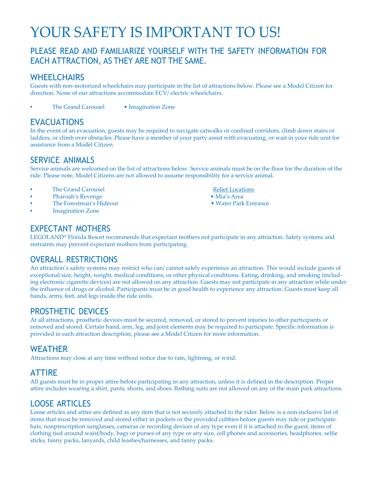# YOUR SAFETY IS IMPORTANT TO US!

### PLEASE READ AND FAMILIARIZE YOURSELF WITH THE SAFETY INFORMATION FOR EACH ATTRACTION, AS THEY ARE NOT THE SAME.

#### **WHEELCHAIRS**

Guests with non-motorized wheelchairs may participate in the list of attractions below. Please see a Model Citizen for direction. None of our attractions accommodate ECV/ electric wheelchairs.

• The Grand Carousel • Imagination Zone

### EVACUATIONS

In the event of an evacuation, guests may be required to navigate catwalks or confined corridors, climb down stairs or ladders, or climb over obstacles. Please have a member of your party assist with evacuating, or wait in your ride unit for assistance from a Model Citizen.

#### SERVICE ANIMALS

Service animals are welcomed on the list of attractions below. Service animals must be on the floor for the duration of the ride. Please note, Model Citizens are not allowed to assume responsibility for a service animal.

- **The Grand Carousel Relief Locations**
- 
- Pharoah's Revenge Mia's Area The Forestman's Hideout
- **Imagination Zone**

- 
- 

### EXPECTANT MOTHERS

LEGOLAND® Florida Resort recommends that expectant mothers not participate in any attraction. Safety systems and restraints may prevent expectant mothers from participating.

### OVERALL RESTRICTIONS

An attraction's safety systems may restrict who can/ cannot safely experience an attraction. This would include guests of exceptional size, height, weight, medical conditions, or other physical conditions. Eating, drinking, and smoking (including electronic cigarette devices) are not allowed on any attraction. Guests may not participate in any attraction while under the influence of drugs or alcohol. Participants must be in good health to experience any attraction. Guests must keep all hands, arms, feet, and legs inside the ride units.

### PROSTHETIC DEVICES

At all attractions, prosthetic devices must be secured, removed, or stored to prevent injuries to other participants or removed and stored. Certain hand, arm, leg, and joint elements may be required to participate. Specific information is provided in each attraction description, please see a Model Citizen for more information.

#### WEATHER

Attractions may close at any time without notice due to rain, lightning, or wind.

#### ATTIRE

All guests must be in proper attire before participating in any attraction, unless it is defined in the description. Proper attire includes wearing a shirt, pants, shorts, and shoes. Bathing suits are not allowed on any of the main park attractions.

#### LOOSE ARTICLES

Loose articles and attire are defined as any item that is not securely attached to the rider. Below is a non-inclusive list of items that must be removed and stored either in pockets or the provided cubbies before guests may ride or participate: hats, nonprescription sunglasses, cameras or recording devices of any type even if it is attached to the guest, items of clothing tied around waist/body, bags or purses of any type or any size, cell phones and accessories, headphones, selfie sticks, fanny packs, lanyards, child leashes/harnesses, and fanny packs.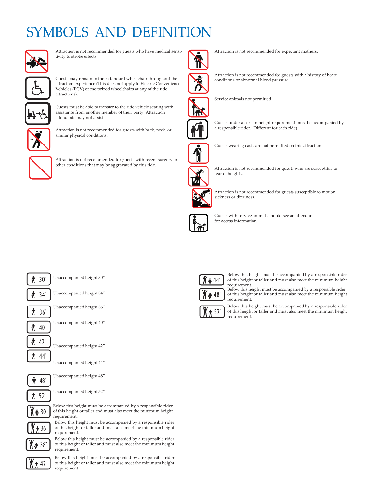# SYMBOLS AND DEFINIT



Attraction is not recommended for guests who have medical sensitivity to strobe effects.



Guests may remain in their standard wheelchair throughout the attraction experience (This does not apply to Electric Convenience Vehicles (ECV) or motorized wheelchairs at any of the ride attractions).



Guests must be able to transfer to the ride vehicle seating with assistance from another member of their party. Attraction attendants may not assist.



Attraction is not recommended for guests with back, neck, or similar physical conditions.



Attraction is not recommended for guests with recent surgery or other conditions that may be aggravated by this ride.



Attraction is not recommended for expectant mothers.



Attraction is not recommended for guests with a history of heart conditions or abnormal blood pressure.



Service animals not permitted.



Guests under a certain height requirement must be accompanied by a responsible rider. (Different for each ride)



Guests wearing casts are not permitted on this attraction..



Attraction is not recommended for guests who are susceptible to fear of heights.



Attraction is not recommended for guests susceptible to motion sickness or dizziness.



Guests with service animals should see an attendant for access information



Unaccompanied height 30"

₩ 34"

Unaccompanied height 34"



Unaccompanied height 36"



Unaccompanied height 40"



Unaccompanied height 42"





 $\spadesuit$  30"

36

38"

Unaccompanied height 48"

Unaccompanied height 52"

Below this height must be accompanied by a responsible rider of this height or taller and must also meet the minimum height requirement.

Below this height must be accompanied by a responsible rider of this height or taller and must also meet the minimum height requirement.

Below this height must be accompanied by a responsible rider of this height or taller and must also meet the minimum height requirement.



Below this height must be accompanied by a responsible rider of this height or taller and must also meet the minimum height requirement.



Below this height must be accompanied by a responsible rider of this height or taller and must also meet the minimum height requirement. Below this height must be accompanied by a responsible rider of this height or taller and must also meet the minimum height

h 52'

requirement.

Below this height must be accompanied by a responsible rider of this height or taller and must also meet the minimum height requirement.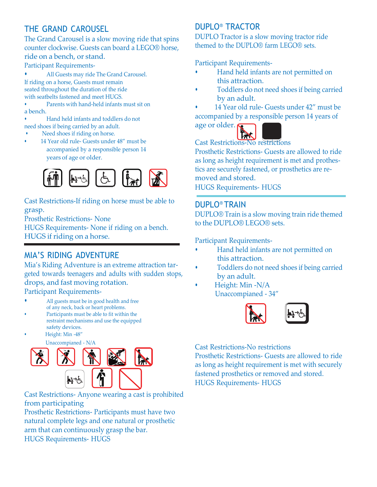# THE GRAND CAROUSEL

The Grand Carousel is a slow moving ride that spins counter clockwise. Guests can board a LEGO® horse, ride on a bench, or stand.

Participant Requirements-

• All Guests may ride The Grand Carousel. If riding on a horse, Guests must remain seated throughout the duration of the ride with seatbelts fastened and meet HUGS.

• Parents with hand-held infants must sit on a bench.

• Hand held infants and toddlers do not need shoes if being carried by an adult.

- Need shoes if riding on horse.
- 14 Year old rule- Guests under 48" must be accompanied by a responsible person 14 years of age or older.



Cast Restrictions-If riding on horse must be able to grasp.

Prosthetic Restrictions- None

HUGS Requirements- None if riding on a bench. HUGS if riding on a horse.

### MIA'S RIDING ADVENTURE

Mia's Riding Adventure is an extreme attraction targeted towards teenagers and adults with sudden stops, drops, and fast moving rotation.

Participant Requirements-

- All guests must be in good health and free of any neck, back or heart problems.
- Participants must be able to fit within the restraint mechanisms and use the equipped safety devices.
	- Height: Min -48"

Unaccompianed - N/A



Cast Restrictions- Anyone wearing a cast is prohibited from participating

Prosthetic Restrictions- Participants must have two natural complete legs and one natural or prosthetic arm that can continuously grasp the bar. HUGS Requirements- HUGS

### DUPLO® TRACTOR

DUPLO Tractor is a slow moving tractor ride themed to the DUPLO® farm LEGO® sets.

Participant Requirements-

- Hand held infants are not permitted on this attraction.
- Toddlers do not need shoes if being carried by an adult.
- 14 Year old rule- Guests under 42" must be accompanied by a responsible person 14 years of

age or older.  $\boldsymbol{\varsigma}$ 



Cast Restrictions-No restrictions

Prosthetic Restrictions- Guests are allowed to ride as long as height requirement is met and prothestics are securely fastened, or prosthetics are removed and stored.

HUGS Requirements- HUGS

#### DUPLO® TRAIN

DUPLO® Train is a slow moving train ride themed to the DUPLO® LEGO® sets.

Participant Requirements-

- Hand held infants are not permitted on this attraction.
- Toddlers do not need shoes if being carried by an adult.
- Height: Min -N/A Unaccompianed - 34"



Cast Restrictions-No restrictions Prosthetic Restrictions- Guests are allowed to ride as long as height requirement is met with securely fastened prosthetics or removed and stored. HUGS Requirements- HUGS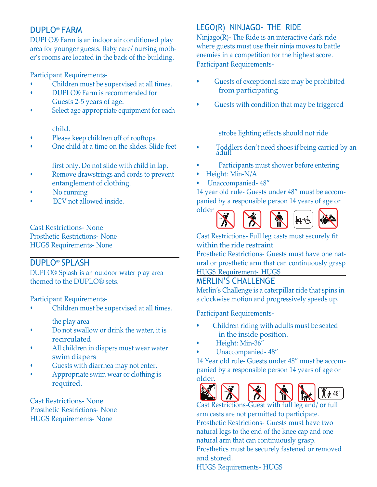### DUPLO® FARM

DUPLO® Farm is an indoor air conditioned play area for younger guests. Baby care/ nursing mother's rooms are located in the back of the building.

Participant Requirements-

- Children must be supervised at all times.
- DUPLO® Farm is recommended for Guests 2-5 years of age.
- Select age appropriate equipment for each

#### child.

- Please keep children off of rooftops.
- One child at a time on the slides. Slide feet

first only. Do not slide with child in lap.

- Remove drawstrings and cords to prevent entanglement of clothing.
- No running
- ECV not allowed inside.

Cast Restrictions- None Prosthetic Restrictions- None HUGS Requirements- None

#### DUPLO® SPLASH

DUPLO® Splash is an outdoor water play area themed to the DUPLO® sets.

Participant Requirements-

- Children must be supervised at all times. the play area
	-
- Do not swallow or drink the water, it is recirculated
- All children in diapers must wear water swim diapers
- Guests with diarrhea may not enter.
- Appropriate swim wear or clothing is required.

Cast Restrictions- None Prosthetic Restrictions- None HUGS Requirements- None

### LEGO(R) NINJAGO- THE RIDE

Ninjago(R)- The Ride is an interactive dark ride where guests must use their ninja moves to battle enemies in a competition for the highest score. Participant Requirements-

- Guests of exceptional size may be prohibited from participating
- Guests with condition that may be triggered

strobe lighting effects should not ride

- Toddlers don't need shoes if being carried by an adult
- Participants must shower before entering
- Height: Min-N/A
- Unaccompanied- 48"

14 year old rule- Guests under 48" must be accompanied by a responsible person 14 years of age or



Cast Restrictions- Full leg casts must securely fit within the ride restraint

Prosthetic Restrictions- Guests must have one natural or prosthetic arm that can continuously grasp HUGS Requirement- HUGS

#### MERLIN'S CHALLENGE

Merlin's Challenge is a caterpillar ride that spins in a clockwise motion and progressively speeds up.

Participant Requirements-

- Children riding with adults must be seated in the inside position.
- Height: Min-36"
- Unaccompanied- 48"

14 Year old rule- Guests under 48" must be accompanied by a responsible person 14 years of age or older.



Cast Restrictions-Guest with full leg and/ or full arm casts are not permitted to participate. Prosthetic Restrictions- Guests must have two natural legs to the end of the knee cap and one natural arm that can continuously grasp. Prosthetics must be securely fastened or removed and stored.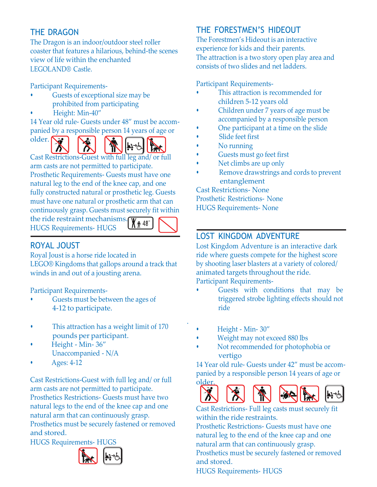## THE DRAGON

The Dragon is an indoor/outdoor steel roller coaster that features a hilarious, behind-the scenes view of life within the enchanted LEGOLAND® Castle.

Participant Requirements-

- Guests of exceptional size may be prohibited from participating
- Height: Min-40"

14 Year old rule- Guests under 48" must be accompanied by a responsible person 14 years of age or





Cast Restrictions-Guest with full leg and/ or full arm casts are not permitted to participate. Prosthetic Requirements- Guests must have one natural leg to the end of the knee cap, and one fully constructed natural or prosthetic leg. Guests must have one natural or prosthetic arm that can continuously grasp. Guests must securely fit within

the ride restraint mechanisms. HUGS Requirements- HUGS



.

# ROYAL JOUST

Royal Joust is a horse ride located in LEGO® Kingdoms that gallops around a track that winds in and out of a jousting arena.

Participant Requirements-

- Guests must be between the ages of 4-12 to participate.
- This attraction has a weight limit of 170 pounds per participant.
- Height Min- 36" Unaccompanied - N/A
- Ages: 4-12

Cast Restrictions-Guest with full leg and/ or full arm casts are not permitted to participate. Prosthetics Restrictions- Guests must have two natural legs to the end of the knee cap and one natural arm that can continuously grasp. Prosthetics must be securely fastened or removed and stored.

HUGS Requirements- HUGS



# THE FORESTMEN'S HIDEOUT

The Forestmen's Hideout is an interactive experience for kids and their parents. The attraction is a two story open play area and consists of two slides and net ladders.

Participant Requirements-

- This attraction is recommended for children 5-12 years old
- Children under 7 years of age must be accompanied by a responsible person
- One participant at a time on the slide
- Slide feet first
- No running
- Guests must go feet first
- Net climbs are up only
- Remove drawstrings and cords to prevent entanglement

Cast Restrictions- None Prosthetic Restrictions- None HUGS Requirements- None

# LOST KINGDOM ADVENTURE

Lost Kingdom Adventure is an interactive dark ride where guests compete for the highest score by shooting laser blasters at a variety of colored/ animated targets throughout the ride. Participant Requirements-

- Guests with conditions that may be triggered strobe lighting effects should not ride
- Height Min- 30"
- Weight may not exceed 880 lbs
- Not recommended for photophobia or vertigo

14 Year old rule- Guests under 42" must be accompanied by a responsible person 14 years of age or older.



Cast Restrictions- Full leg casts must securely fit within the ride restraints.

Prosthetic Restrictions- Guests must have one natural leg to the end of the knee cap and one natural arm that can continuously grasp. Prosthetics must be securely fastened or removed and stored.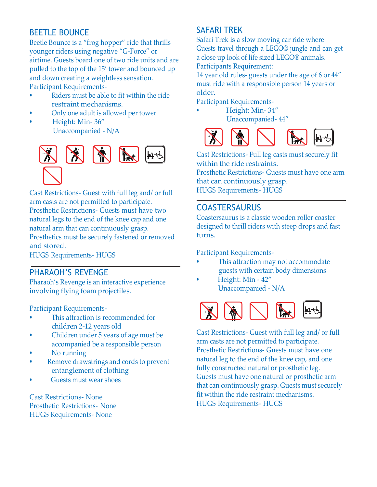## BEETLE BOUNCE

Beetle Bounce is a "frog hopper" ride that thrills younger riders using negative "G-Force" or airtime. Guests board one of two ride units and are pulled to the top of the 15' tower and bounced up and down creating a weightless sensation. Participant Requirements-

- Riders must be able to fit within the ride restraint mechanisms.
- Only one adult is allowed per tower
- Height: Min- 36" Unaccompanied - N/A



Cast Restrictions- Guest with full leg and/ or full arm casts are not permitted to participate. Prosthetic Restrictions- Guests must have two natural legs to the end of the knee cap and one natural arm that can continuously grasp. Prosthetics must be securely fastened or removed and stored.

HUGS Requirements- HUGS

#### PHARAOH'S REVENGE

Pharaoh's Revenge is an interactive experience involving flying foam projectiles.

Participant Requirements-

- This attraction is recommended for children 2-12 years old
- Children under 5 years of age must be accompanied be a responsible person
- No running
- Remove drawstrings and cords to prevent entanglement of clothing
- Guests must wear shoes

Cast Restrictions- None Prosthetic Restrictions- None HUGS Requirements- None

## SAFARI TREK

Safari Trek is a slow moving car ride where Guests travel through a LEGO® jungle and can get a close up look of life sized LEGO® animals. Participants Requirement:

14 year old rules- guests under the age of 6 or 44" must ride with a responsible person 14 years or older.

Participant Requirements-

• Height: Min- 34" Unaccompanied- 44"



Cast Restrictions- Full leg casts must securely fit within the ride restraints.

Prosthetic Restrictions- Guests must have one arm that can continuously grasp.

HUGS Requirements- HUGS

### COASTERSAURUS

Coastersaurus is a classic wooden roller coaster designed to thrill riders with steep drops and fast turns.

Participant Requirements-

- This attraction may not accommodate guests with certain body dimensions
- Height: Min 42" Unaccompanied - N/A



Cast Restrictions- Guest with full leg and/ or full arm casts are not permitted to participate. Prosthetic Restrictions- Guests must have one natural leg to the end of the knee cap, and one fully constructed natural or prosthetic leg. Guests must have one natural or prosthetic arm that can continuously grasp. Guests must securely fit within the ride restraint mechanisms. HUGS Requirements- HUGS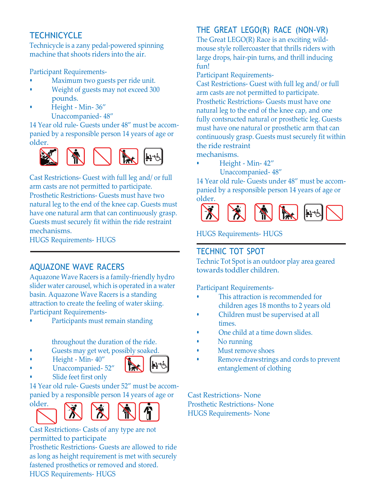# **TECHNICYCLE**

Technicycle is a zany pedal-powered spinning machine that shoots riders into the air.

Participant Requirements-

- Maximum two guests per ride unit.
- Weight of guests may not exceed 300 pounds.
- Height Min- 36" Unaccompanied- 48"

14 Year old rule- Guests under 48" must be accompanied by a responsible person 14 years of age or older.



Cast Restrictions- Guest with full leg and/ or full arm casts are not permitted to participate. Prosthetic Restrictions- Guests must have two natural leg to the end of the knee cap. Guests must have one natural arm that can continuously grasp. Guests must securely fit within the ride restraint mechanisms.

HUGS Requirements- HUGS

# AQUAZONE WAVE RACERS

Aquazone Wave Racers is a family-friendly hydro slider water carousel, which is operated in a water basin. Aquazone Wave Racers is a standing attraction to create the feeling of water skiing. Participant Requirements-

Participants must remain standing

throughout the duration of the ride.

- Guests may get wet, possibly soaked.
- Height Min- 40"



• Unaccompanied- 52"

Slide feet first only 14 Year old rule- Guests under 52" must be accom-





Cast Restrictions- Casts of any type are not permitted to participate

Prosthetic Restrictions- Guests are allowed to ride as long as height requirement is met with securely fastened prosthetics or removed and stored. HUGS Requirements- HUGS

# THE GREAT LEGO(R) RACE (NON-VR)

The Great LEGO(R) Race is an exciting wildmouse style rollercoaster that thrills riders with large drops, hair-pin turns, and thrill inducing fun!

Participant Requirements-

Cast Restrictions- Guest with full leg and/ or full arm casts are not permitted to participate. Prosthetic Restrictions- Guests must have one natural leg to the end of the knee cap, and one fully contsructed natural or prosthetic leg. Guests must have one natural or prosthetic arm that can continuously grasp. Guests must securely fit within the ride restraint

mechanisms.

• Height - Min- 42"

Unaccompanied- 48"

14 Year old rule- Guests under 48" must be accompanied by a responsible person 14 years of age or older.



HUGS Requirements- HUGS

# TECHNIC TOT SPOT

Technic Tot Spot is an outdoor play area geared towards toddler children.

Participant Requirements-

- This attraction is recommended for children ages 18 months to 2 years old
- Children must be supervised at all times.
- One child at a time down slides.
- No running
- Must remove shoes
- Remove drawstrings and cords to prevent entanglement of clothing

Cast Restrictions- None Prosthetic Restrictions- None HUGS Requirements- None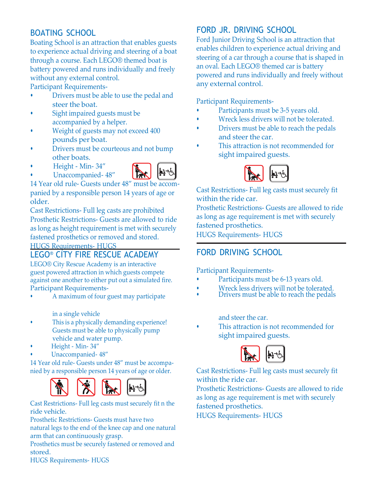## BOATING SCHOOL

Boating School is an attraction that enables guests to experience actual driving and steering of a boat through a course. Each LEGO® themed boat is battery powered and runs individually and freely without any external control.

Participant Requirements-

- Drivers must be able to use the pedal and steer the boat.
- Sight impaired guests must be accompanied by a helper.
- Weight of guests may not exceed 400 pounds per boat.
- Drivers must be courteous and not bump other boats.
- Height Min- 34"
- Unaccompanied- 48"



14 Year old rule- Guests under 48" must be accompanied by a responsible person 14 years of age or older.

Cast Restrictions- Full leg casts are prohibited Prosthetic Restrictions- Guests are allowed to ride as long as height requirement is met with securely fastened prosthetics or removed and stored.

HUGS Requirements- HUGS

### LEGO® CITY FIRE RESCUE ACADEMY

LEGO® City Rescue Academy is an interactive guest powered attraction in which guests compete against one another to either put out a simulated fire. Participant Requirements-

• A maximum of four guest may participate

in a single vehicle

- This is a physically demanding experience! Guests must be able to physically pump vehicle and water pump.
- Height Min- 34"
- Unaccompanied- 48"

14 Year old rule- Guests under 48" must be accompanied by a responsible person 14 years of age or older.



Cast Restrictions- Full leg casts must securely fit n the ride vehicle.

Prosthetic Restrictions- Guests must have two natural legs to the end of the knee cap and one natural arm that can continuously grasp.

Prosthetics must be securely fastened or removed and stored.

# FORD JR. DRIVING SCHOOL

Ford Junior Driving School is an attraction that enables children to experience actual driving and steering of a car through a course that is shaped in an oval. Each LEGO® themed car is battery powered and runs individually and freely without any external control.

Participant Requirements-

- Participants must be 3-5 years old.
- Wreck less drivers will not be tolerated.
- Drivers must be able to reach the pedals and steer the car.
- This attraction is not recommended for sight impaired guests.



Cast Restrictions- Full leg casts must securely fit within the ride car.

Prosthetic Restrictions- Guests are allowed to ride as long as age requirement is met with securely fastened prosthetics.

HUGS Requirements- HUGS

# FORD DRIVING SCHOOL

Participant Requirements-

- Participants must be 6-13 years old.
- Wreck less drivers will not be tolerated.
- Drivers must be able to reach the pedals

and steer the car.

• This attraction is not recommended for sight impaired guests.



Cast Restrictions- Full leg casts must securely fit within the ride car.

Prosthetic Restrictions- Guests are allowed to ride as long as age requirement is met with securely fastened prosthetics.

HUGS Requirements- HUGS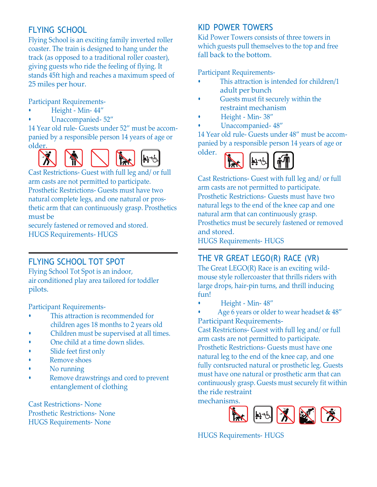# FLYING SCHOOL

Flying School is an exciting family inverted roller coaster. The train is designed to hang under the track (as opposed to a traditional roller coaster), giving guests who ride the feeling of flying. It stands 45ft high and reaches a maximum speed of 25 miles per hour.

Participant Requirements-

- Height Min- 44"
- Unaccompanied- 52"

14 Year old rule- Guests under 52" must be accompanied by a responsible person 14 years of age or older.



Cast Restrictions- Guest with full leg and/ or full arm casts are not permitted to participate. Prosthetic Restrictions- Guests must have two natural complete legs, and one natural or prosthetic arm that can continuously grasp. Prosthetics must be

securely fastened or removed and stored. HUGS Requirements- HUGS

# FLYING SCHOOL TOT SPOT

Flying School Tot Spot is an indoor, air conditioned play area tailored for toddler pilots.

Participant Requirements-

- This attraction is recommended for children ages 18 months to 2 years old
- Children must be supervised at all times.
- One child at a time down slides.
- Slide feet first only
- Remove shoes
- No running
- Remove drawstrings and cord to prevent entanglement of clothing

Cast Restrictions- None Prosthetic Restrictions- None HUGS Requirements- None

### KID POWER TOWERS

Kid Power Towers consists of three towers in which guests pull themselves to the top and free fall back to the bottom.

Participant Requirements-

- This attraction is intended for children/1 adult per bunch
- Guests must fit securely within the restraint mechanism
- Height Min- 38"

older.

• Unaccompanied- 48"

14 Year old rule- Guests under 48" must be accompanied by a responsible person 14 years of age or



Cast Restrictions- Guest with full leg and/ or full arm casts are not permitted to participate. Prosthetic Restrictions- Guests must have two natural legs to the end of the knee cap and one natural arm that can continuously grasp. Prosthetics must be securely fastened or removed and stored.

HUGS Requirements- HUGS

## THE VR GREAT LEGO(R) RACE (VR)

The Great LEGO(R) Race is an exciting wildmouse style rollercoaster that thrills riders with large drops, hair-pin turns, and thrill inducing fun!

• Height - Min- 48"

Age 6 years or older to wear headset & 48" Participant Requirements-

Cast Restrictions- Guest with full leg and/ or full arm casts are not permitted to participate. Prosthetic Restrictions- Guests must have one natural leg to the end of the knee cap, and one fully contsructed natural or prosthetic leg. Guests must have one natural or prosthetic arm that can continuously grasp. Guests must securely fit within the ride restraint

mechanisms.

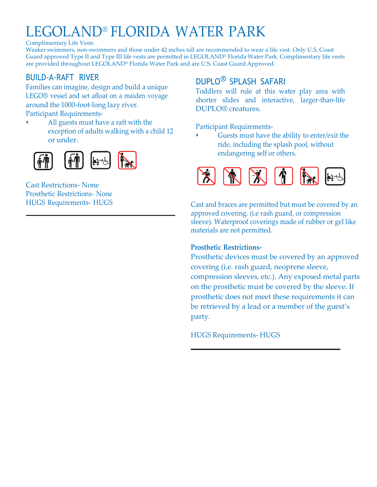# LEGOLAND® FLORIDA WATER PARK

Complimentary Life Vests

Weaker swimmers, non-swimmers and those under 42 inches tall are recommended to wear a life vest. Only U.S. Coast Guard approved Type II and Type III life vests are permitted in LEGOLAND® Florida Water Park. Complimentary life vests are provided throughout LEGOLAND® Florida Water Park and are U.S. Coast Guard Approved.

## BUILD-A-RAFT RIVER

Families can imagine, design and build a unique LEGO® vessel and set afloat on a maiden voyage around the 1000-foot-long lazy river. Participant Requirements-

• All guests must have a raft with the exception of adults walking with a child 12 or under.



Cast Restrictions- None Prosthetic Restrictions- None HUGS Requirements- HUGS

# DUPLO® SPLASH SAFARI

Toddlers will rule at this water play area with shorter slides and interactive, larger-than-life DUPLO® creatures.

Participant Requirements-

Guests must have the ability to enter/exit the ride, including the splash pool, without endangering self or others.



Cast and braces are permitted but must be covered by an approved covering. (i.e rash guard, or compression sleeve). Waterproof coverings made of rubber or gel like materials are not permitted.

#### **Prosthetic Restrictions-**

Prosthetic devices must be covered by an approved covering (i.e. rash guard, neoprene sleeve, compression sleeves, etc.). Any exposed metal parts on the prosthetic must be covered by the sleeve. If prosthetic does not meet these requirements it can be retrieved by a lead or a member of the guest's party.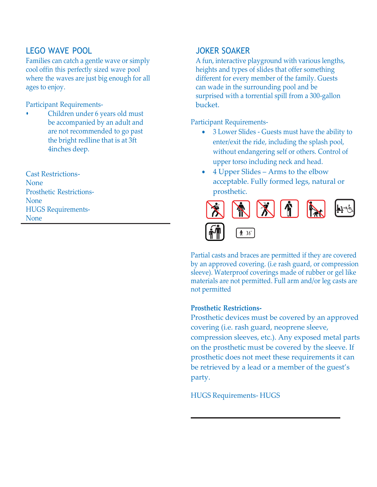### LEGO WAVE POOL

Families can catch a gentle wave or simply cool offin this perfectly sized wave pool where the waves are just big enough for all ages to enjoy.

Participant Requirements-

• Children under 6 years old must be accompanied by an adult and are not recommended to go past the bright redline that is at 3ft 4inches deep.

Cast Restrictions-None Prosthetic Restrictions-None HUGS Requirements-None

#### JOKER SOAKER

A fun, interactive playground with various lengths, heights and types of slides that offer something different for every member of the family. Guests can wade in the surrounding pool and be surprised with a torrential spill from a 300-gallon bucket.

Participant Requirements-

- 3 Lower Slides Guests must have the ability to enter/exit the ride, including the splash pool, without endangering self or others. Control of upper torso including neck and head.
- 4 Upper Slides Arms to the elbow acceptable. Fully formed legs, natural or prosthetic.



Partial casts and braces are permitted if they are covered by an approved covering. (i.e rash guard, or compression sleeve). Waterproof coverings made of rubber or gel like materials are not permitted. Full arm and/or leg casts are not permitted

#### **Prosthetic Restrictions-**

Prosthetic devices must be covered by an approved covering (i.e. rash guard, neoprene sleeve, compression sleeves, etc.). Any exposed metal parts on the prosthetic must be covered by the sleeve. If prosthetic does not meet these requirements it can be retrieved by a lead or a member of the guest's party.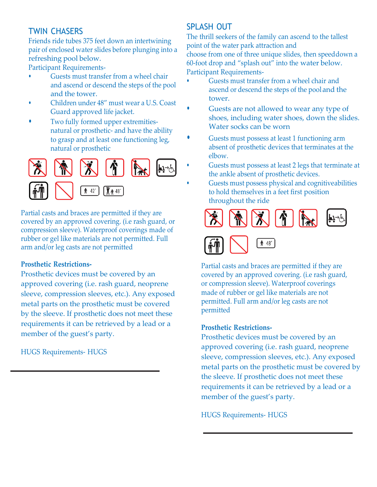# TWIN CHASERS

Friends ride tubes 375 feet down an intertwining pair of enclosed water slides before plunging into a refreshing pool below.

Participant Requirements-

- Guests must transfer from a wheel chair and ascend or descend the steps of the pool and the tower.
- Children under 48" must wear a U.S. Coast Guard approved life jacket.
- Two fully formed upper extremitiesnatural or prosthetic- and have the ability to grasp and at least one functioning leg, natural or prosthetic



Partial casts and braces are permitted if they are covered by an approved covering. (i.e rash guard, or compression sleeve). Waterproof coverings made of rubber or gel like materials are not permitted. Full arm and/or leg casts are not permitted

#### **Prosthetic Restrictions-**

Prosthetic devices must be covered by an approved covering (i.e. rash guard, neoprene sleeve, compression sleeves, etc.). Any exposed metal parts on the prosthetic must be covered by the sleeve. If prosthetic does not meet these requirements it can be retrieved by a lead or a member of the guest's party.

HUGS Requirements- HUGS

### SPLASH OUT

The thrill seekers of the family can ascend to the tallest point of the water park attraction and choose from one of three unique slides, then speeddown a 60-foot drop and "splash out" into the water below. Participant Requirements-

- Guests must transfer from a wheel chair and ascend or descend the steps of the pool and the tower.
- Guests are not allowed to wear any type of shoes, including water shoes, down the slides. Water socks can be worn
- Guests must possess at least 1 functioning arm absent of prosthetic devices that terminates at the elbow.
- Guests must possess at least 2 legs that terminate at the ankle absent of prosthetic devices.
	- Guests must possess physical and cognitiveabilities to hold themselves in a feet first position throughout the ride





Partial casts and braces are permitted if they are covered by an approved covering. (i.e rash guard, or compression sleeve). Waterproof coverings made of rubber or gel like materials are not permitted. Full arm and/or leg casts are not permitted

#### **Prosthetic Restrictions-**

Prosthetic devices must be covered by an approved covering (i.e. rash guard, neoprene sleeve, compression sleeves, etc.). Any exposed metal parts on the prosthetic must be covered by the sleeve. If prosthetic does not meet these requirements it can be retrieved by a lead or a member of the guest's party.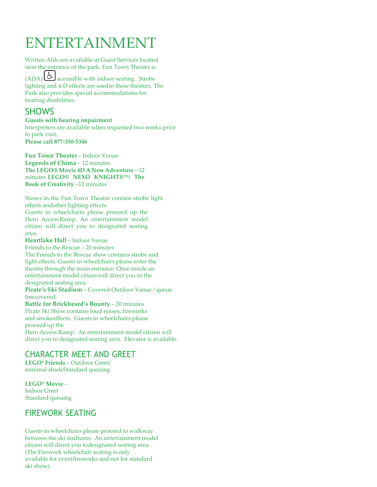# ENTERTAINMENT

Written Aids are available at Guest Services located near the entrance of the park. Fun Town Theater is  $(ADA)$   $(b)$  accessible with indoor seating. Strobe lighting and 4-D effects are usedin these theaters. The Park also provides special accommodations for hearing disabilities.

# **SHOWS**

**Guests with hearing impairment** Interpreters are available when requested two weeks prior to park visit. **Please call 877-350-5346**

**Fun Town Theater** – Indoor Venue **Legends of Chima** – 12 minutes **The LEGO® Movie 4D A New Adventure** – 12 minutes **LEGO® NEXO KNIGHTS™: The Book of Creativity** –12 minutes

Shows in the Fun Town Theatre contain strobe light effects andother lighting effects. Guests in wheelchairs please proceed up the Hero Access Ramp. An entertainment model citizen will direct you to designated seating area.

**Heartlake Hall** – Indoor Venue Friends to the Rescue – 20 minutes The Friends to the Rescue show contains strobe and light effects. Guests in wheelchairs please enter the theatre through the main entrance. Once inside an entertainment model citizenwill direct you to the designated seating area.

**Pirate's Ski Stadium** – Covered Outdoor Venue / queue linecovered.

**Battle for Brickbeard's Bounty** – 20 minutes Pirate Ski Show contains loud noises, fireworks and smokeeffects. Guests in wheelchairs please proceed up the

Hero Access Ramp. An entertainment model citizen will direct you to designated seating area. Elevator is available.

### CHARACTER MEET AND GREET

**LEGO® Friends** – Outdoor Greet/ minimal shadeStandard queuing

**LEGO® Movie** – Indoor Greet Standard queuing

## FIREWORK SEATING

Guests in wheelchairs please proceed to walkway between the ski stadiums. An entertainment model citizen will direct you todesignated seating area. (The Firework wheelchair seating is only available for eventfireworks and not for standard ski show).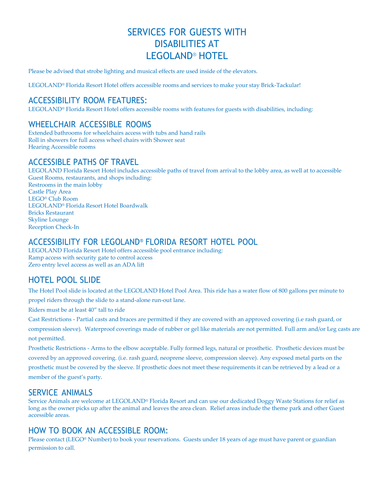# SERVICES FOR GUESTS WITH DISABILITIES AT LEGOLAND® HOTEL

Please be advised that strobe lighting and musical effects are used inside of the elevators.

LEGOLAND® Florida Resort Hotel offers accessible rooms and services to make your stay Brick-Tackular!

### ACCESSIBILITY ROOM FEATURES:

LEGOLAND® Florida Resort Hotel offers accessible rooms with features for guests with disabilities, including:

### WHEELCHAIR ACCESSIBLE ROOMS

Extended bathrooms for wheelchairs access with tubs and hand rails Roll in showers for full access wheel chairs with Shower seat Hearing Accessible rooms

### ACCESSIBLE PATHS OF TRAVEL

LEGOLAND Florida Resort Hotel includes accessible paths of travel from arrival to the lobby area, as well at to accessible Guest Rooms, restaurants, and shops including: Restrooms in the main lobby Castle Play Area LEGO® Club Room LEGOLAND® Florida Resort Hotel Boardwalk Bricks Restaurant Skyline Lounge Reception Check-In

#### ACCESSIBILITY FOR LEGOLAND® FLORIDA RESORT HOTEL POOL

LEGOLAND Florida Resort Hotel offers accessible pool entrance including: Ramp access with security gate to control access Zero entry level access as well as an ADA lift

## HOTEL POOL SLIDE

The Hotel Pool slide is located at the LEGOLAND Hotel Pool Area. This ride has a water flow of 800 gallons per minute to

propel riders through the slide to a stand-alone run-out lane.

Riders must be at least 40" tall to ride

Cast Restrictions - Partial casts and braces are permitted if they are covered with an approved covering (i.e rash guard, or compression sleeve). Waterproof coverings made of rubber or gel like materials are not permitted. Full arm and/or Leg casts are not permitted.

Prosthetic Restrictions - Arms to the elbow acceptable. Fully formed legs, natural or prosthetic. Prosthetic devices must be covered by an approved covering. (i.e. rash guard, neoprene sleeve, compression sleeve). Any exposed metal parts on the prosthetic must be covered by the sleeve. If prosthetic does not meet these requirements it can be retrieved by a lead or a member of the guest's party.

#### SERVICE ANIMALS

Service Animals are welcome at LEGOLAND® Florida Resort and can use our dedicated Doggy Waste Stations for relief as long as the owner picks up after the animal and leaves the area clean. Relief areas include the theme park and other Guest accessible areas.

#### HOW TO BOOK AN ACCESSIBLE ROOM:

Please contact (LEGO® Number) to book your reservations. Guests under 18 years of age must have parent or guardian permission to call.